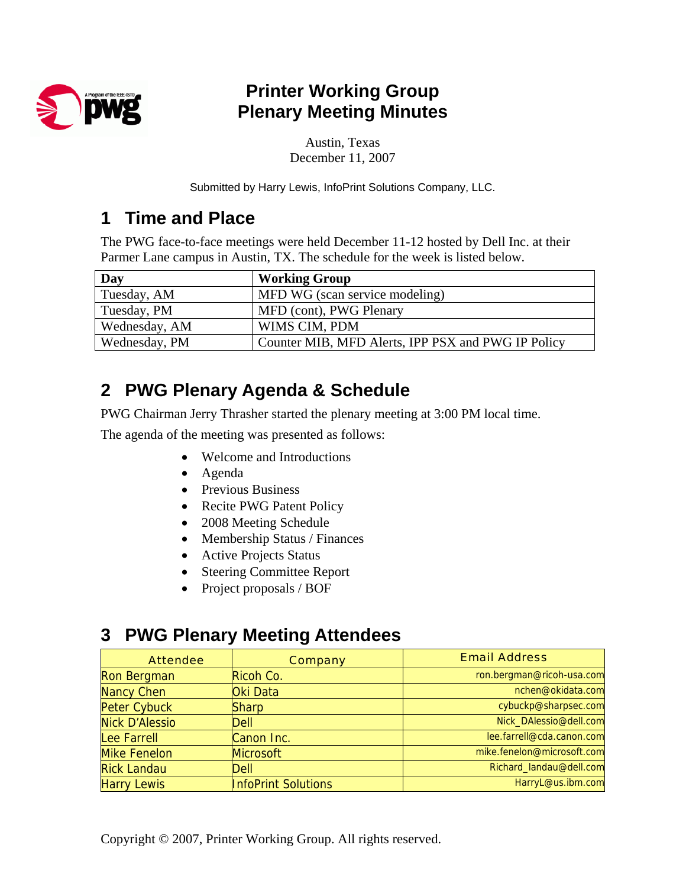

## **Printer Working Group Plenary Meeting Minutes**

Austin, Texas December 11, 2007

Submitted by Harry Lewis, InfoPrint Solutions Company, LLC.

## **1 Time and Place**

The PWG face-to-face meetings were held December 11-12 hosted by Dell Inc. at their Parmer Lane campus in Austin, TX. The schedule for the week is listed below.

| Day           | <b>Working Group</b>                               |
|---------------|----------------------------------------------------|
| Tuesday, AM   | MFD WG (scan service modeling)                     |
| Tuesday, PM   | MFD (cont), PWG Plenary                            |
| Wednesday, AM | WIMS CIM, PDM                                      |
| Wednesday, PM | Counter MIB, MFD Alerts, IPP PSX and PWG IP Policy |

# **2 PWG Plenary Agenda & Schedule**

PWG Chairman Jerry Thrasher started the plenary meeting at 3:00 PM local time.

The agenda of the meeting was presented as follows:

- Welcome and Introductions
- Agenda
- Previous Business
- Recite PWG Patent Policy
- 2008 Meeting Schedule
- Membership Status / Finances
- Active Projects Status
- Steering Committee Report
- Project proposals / BOF

### **3 PWG Plenary Meeting Attendees**

| <b>Attendee</b>       | <b>Company</b>             | <b>Email Address</b>       |
|-----------------------|----------------------------|----------------------------|
| Ron Bergman           | Ricoh Co.                  | ron.bergman@ricoh-usa.com  |
| <b>Nancy Chen</b>     | Oki Data                   | nchen@okidata.com          |
| <b>Peter Cybuck</b>   | <b>Sharp</b>               | cybuckp@sharpsec.com       |
| <b>Nick D'Alessio</b> | Dell                       | Nick_DAlessio@dell.com     |
| Lee Farrell           | Canon Inc.                 | lee.farrell@cda.canon.com  |
| <b>Mike Fenelon</b>   | <b>Microsoft</b>           | mike.fenelon@microsoft.com |
| <b>Rick Landau</b>    | <b>Dell</b>                | Richard_landau@dell.com    |
| <b>Harry Lewis</b>    | <b>InfoPrint Solutions</b> | HarryL@us.ibm.com          |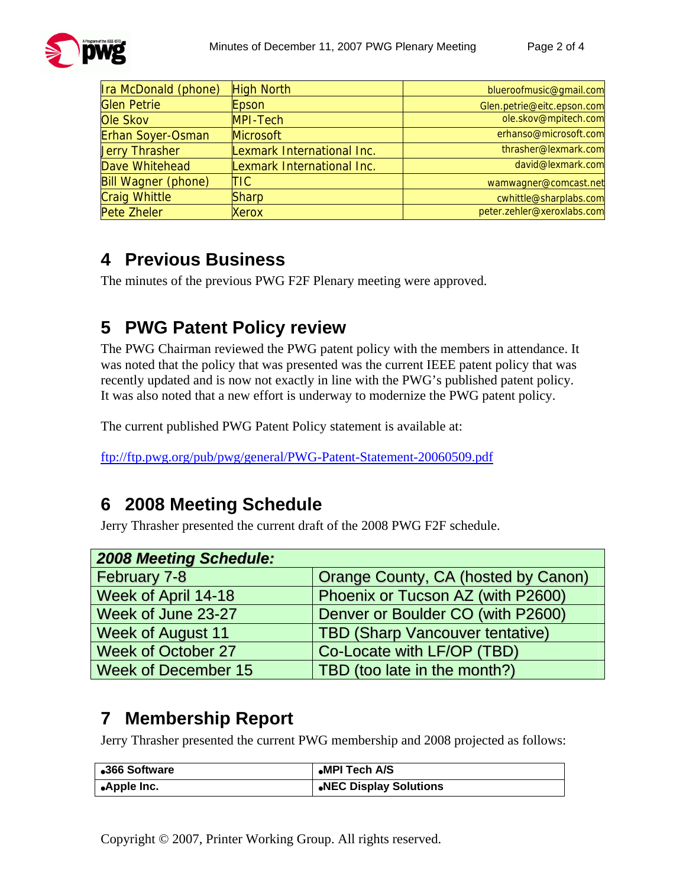

| Ira McDonald (phone)       | <b>High North</b>          | blueroofmusic@gmail.com    |
|----------------------------|----------------------------|----------------------------|
| <b>Glen Petrie</b>         | Epson                      | Glen.petrie@eitc.epson.com |
| Ole Skov                   | <b>MPI-Tech</b>            | ole.skov@mpitech.com       |
| <b>Erhan Soyer-Osman</b>   | <b>Microsoft</b>           | erhanso@microsoft.com      |
| <b>Jerry Thrasher</b>      | Lexmark International Inc. | thrasher@lexmark.com       |
| Dave Whitehead             | Lexmark International Inc. | david@lexmark.com          |
| <b>Bill Wagner (phone)</b> | TIC                        | wamwagner@comcast.net      |
| <b>Craig Whittle</b>       | <b>Sharp</b>               | cwhittle@sharplabs.com     |
| Pete Zheler                | <b>Xerox</b>               | peter.zehler@xeroxlabs.com |

## **4 Previous Business**

The minutes of the previous PWG F2F Plenary meeting were approved.

# **5 PWG Patent Policy review**

The PWG Chairman reviewed the PWG patent policy with the members in attendance. It was noted that the policy that was presented was the current IEEE patent policy that was recently updated and is now not exactly in line with the PWG's published patent policy. It was also noted that a new effort is underway to modernize the PWG patent policy.

The current published PWG Patent Policy statement is available at:

<ftp://ftp.pwg.org/pub/pwg/general/PWG-Patent-Statement-20060509.pdf>

### **6 2008 Meeting Schedule**

Jerry Thrasher presented the current draft of the 2008 PWG F2F schedule.

| <b>2008 Meeting Schedule:</b> |                                        |
|-------------------------------|----------------------------------------|
| February 7-8                  | Orange County, CA (hosted by Canon)    |
| Week of April 14-18           | Phoenix or Tucson AZ (with P2600)      |
| Week of June 23-27            | Denver or Boulder CO (with P2600)      |
| <b>Week of August 11</b>      | <b>TBD (Sharp Vancouver tentative)</b> |
| <b>Week of October 27</b>     | Co-Locate with LF/OP (TBD)             |
| Week of December 15           | TBD (too late in the month?)           |

### **7 Membership Report**

Jerry Thrasher presented the current PWG membership and 2008 projected as follows:

| •366 Software             | •MPI Tech A/S          |
|---------------------------|------------------------|
| ∣ <sub>●</sub> Apple Inc. | .NEC Display Solutions |

Copyright © 2007, Printer Working Group. All rights reserved.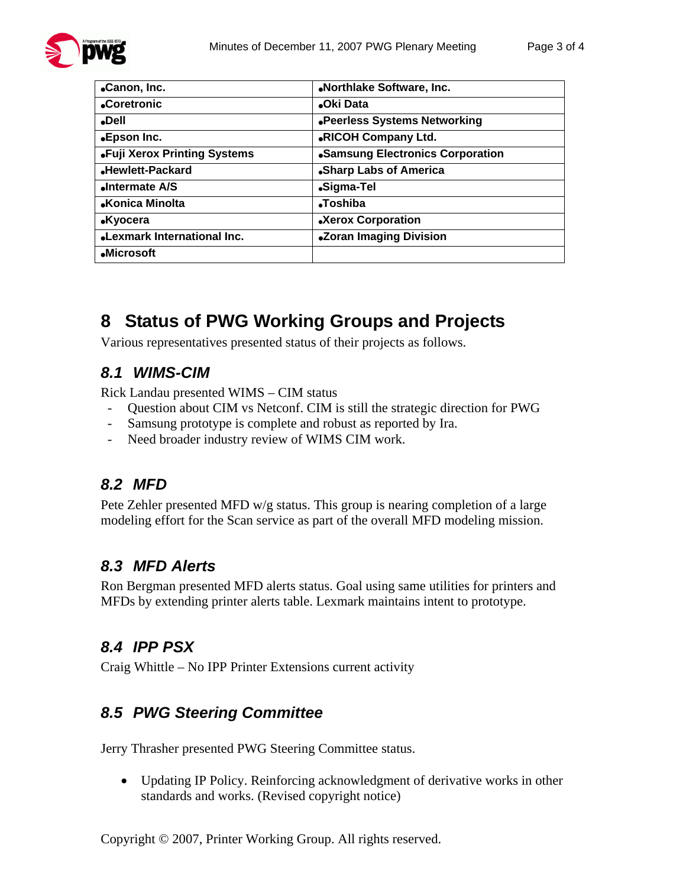

| •Canon, Inc.                        | «Northlake Software, Inc.        |
|-------------------------------------|----------------------------------|
| •Coretronic                         | <b>Oki Data</b>                  |
| •Dell                               | .Peerless Systems Networking     |
| •Epson Inc.                         | .RICOH Company Ltd.              |
| •Fuji Xerox Printing Systems        | •Samsung Electronics Corporation |
| Hewlett-Packard                     | •Sharp Labs of America           |
| Intermate A/S                       | •Sigma-Tel                       |
| •Konica Minolta                     | <b>Toshiba</b>                   |
| <b>.Kyocera</b>                     | •Xerox Corporation               |
| <b>.</b> Lexmark International Inc. | •Zoran Imaging Division          |
| •Microsoft                          |                                  |

## **8 Status of PWG Working Groups and Projects**

Various representatives presented status of their projects as follows.

#### *8.1 WIMS-CIM*

Rick Landau presented WIMS – CIM status

- Question about CIM vs Netconf. CIM is still the strategic direction for PWG
- Samsung prototype is complete and robust as reported by Ira.
- Need broader industry review of WIMS CIM work.

### *8.2 MFD*

Pete Zehler presented MFD w/g status. This group is nearing completion of a large modeling effort for the Scan service as part of the overall MFD modeling mission.

### *8.3 MFD Alerts*

Ron Bergman presented MFD alerts status. Goal using same utilities for printers and MFDs by extending printer alerts table. Lexmark maintains intent to prototype.

### *8.4 IPP PSX*

Craig Whittle – No IPP Printer Extensions current activity

### *8.5 PWG Steering Committee*

Jerry Thrasher presented PWG Steering Committee status.

• Updating IP Policy. Reinforcing acknowledgment of derivative works in other standards and works. (Revised copyright notice)

Copyright © 2007, Printer Working Group. All rights reserved.